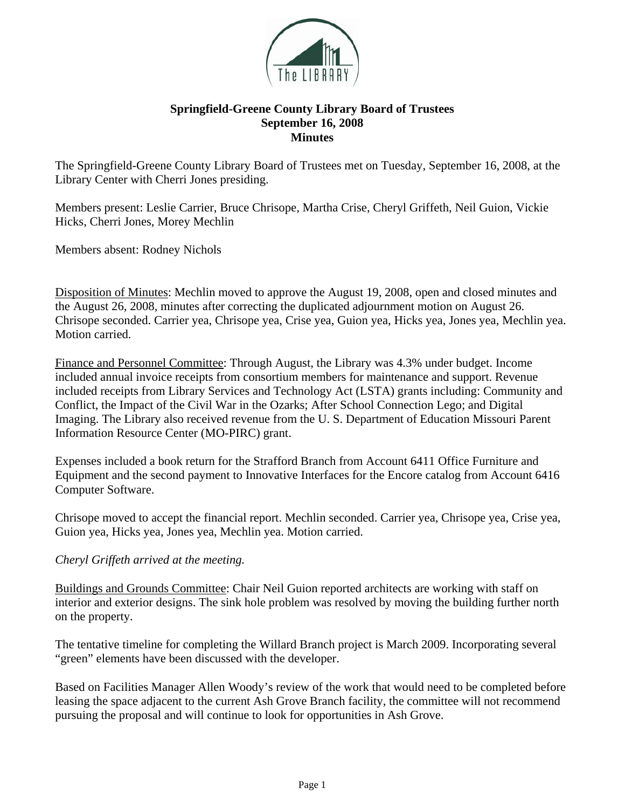

## **Springfield-Greene County Library Board of Trustees September 16, 2008 Minutes**

The Springfield-Greene County Library Board of Trustees met on Tuesday, September 16, 2008, at the Library Center with Cherri Jones presiding.

Members present: Leslie Carrier, Bruce Chrisope, Martha Crise, Cheryl Griffeth, Neil Guion, Vickie Hicks, Cherri Jones, Morey Mechlin

Members absent: Rodney Nichols

Disposition of Minutes: Mechlin moved to approve the August 19, 2008, open and closed minutes and the August 26, 2008, minutes after correcting the duplicated adjournment motion on August 26. Chrisope seconded. Carrier yea, Chrisope yea, Crise yea, Guion yea, Hicks yea, Jones yea, Mechlin yea. Motion carried.

Finance and Personnel Committee: Through August, the Library was 4.3% under budget. Income included annual invoice receipts from consortium members for maintenance and support. Revenue included receipts from Library Services and Technology Act (LSTA) grants including: Community and Conflict, the Impact of the Civil War in the Ozarks; After School Connection Lego; and Digital Imaging. The Library also received revenue from the U. S. Department of Education Missouri Parent Information Resource Center (MO-PIRC) grant.

Expenses included a book return for the Strafford Branch from Account 6411 Office Furniture and Equipment and the second payment to Innovative Interfaces for the Encore catalog from Account 6416 Computer Software.

Chrisope moved to accept the financial report. Mechlin seconded. Carrier yea, Chrisope yea, Crise yea, Guion yea, Hicks yea, Jones yea, Mechlin yea. Motion carried.

## *Cheryl Griffeth arrived at the meeting.*

Buildings and Grounds Committee: Chair Neil Guion reported architects are working with staff on interior and exterior designs. The sink hole problem was resolved by moving the building further north on the property.

The tentative timeline for completing the Willard Branch project is March 2009. Incorporating several "green" elements have been discussed with the developer.

Based on Facilities Manager Allen Woody's review of the work that would need to be completed before leasing the space adjacent to the current Ash Grove Branch facility, the committee will not recommend pursuing the proposal and will continue to look for opportunities in Ash Grove.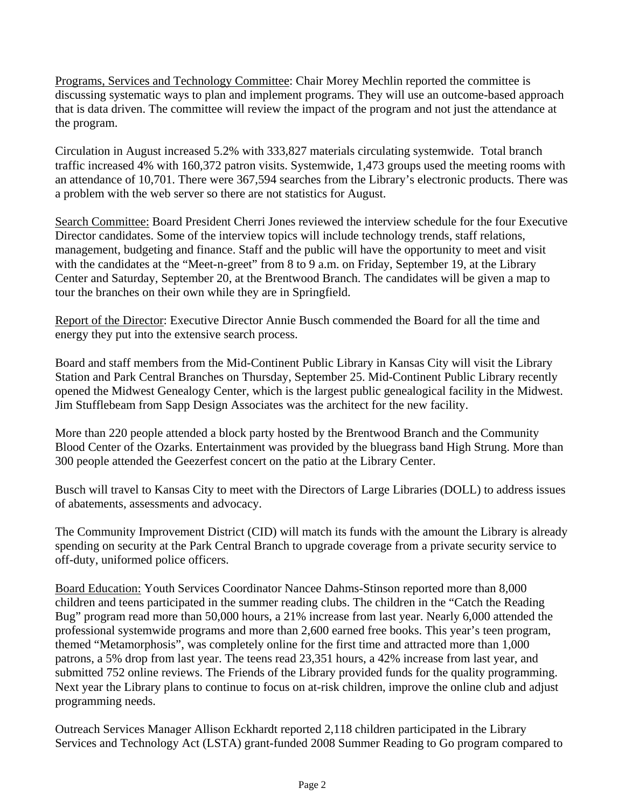Programs, Services and Technology Committee: Chair Morey Mechlin reported the committee is discussing systematic ways to plan and implement programs. They will use an outcome-based approach that is data driven. The committee will review the impact of the program and not just the attendance at the program.

Circulation in August increased 5.2% with 333,827 materials circulating systemwide. Total branch traffic increased 4% with 160,372 patron visits. Systemwide, 1,473 groups used the meeting rooms with an attendance of 10,701. There were 367,594 searches from the Library's electronic products. There was a problem with the web server so there are not statistics for August.

Search Committee: Board President Cherri Jones reviewed the interview schedule for the four Executive Director candidates. Some of the interview topics will include technology trends, staff relations, management, budgeting and finance. Staff and the public will have the opportunity to meet and visit with the candidates at the "Meet-n-greet" from 8 to 9 a.m. on Friday, September 19, at the Library Center and Saturday, September 20, at the Brentwood Branch. The candidates will be given a map to tour the branches on their own while they are in Springfield.

Report of the Director: Executive Director Annie Busch commended the Board for all the time and energy they put into the extensive search process.

Board and staff members from the Mid-Continent Public Library in Kansas City will visit the Library Station and Park Central Branches on Thursday, September 25. Mid-Continent Public Library recently opened the Midwest Genealogy Center, which is the largest public genealogical facility in the Midwest. Jim Stufflebeam from Sapp Design Associates was the architect for the new facility.

More than 220 people attended a block party hosted by the Brentwood Branch and the Community Blood Center of the Ozarks. Entertainment was provided by the bluegrass band High Strung. More than 300 people attended the Geezerfest concert on the patio at the Library Center.

Busch will travel to Kansas City to meet with the Directors of Large Libraries (DOLL) to address issues of abatements, assessments and advocacy.

The Community Improvement District (CID) will match its funds with the amount the Library is already spending on security at the Park Central Branch to upgrade coverage from a private security service to off-duty, uniformed police officers.

Board Education: Youth Services Coordinator Nancee Dahms-Stinson reported more than 8,000 children and teens participated in the summer reading clubs. The children in the "Catch the Reading Bug" program read more than 50,000 hours, a 21% increase from last year. Nearly 6,000 attended the professional systemwide programs and more than 2,600 earned free books. This year's teen program, themed "Metamorphosis", was completely online for the first time and attracted more than 1,000 patrons, a 5% drop from last year. The teens read 23,351 hours, a 42% increase from last year, and submitted 752 online reviews. The Friends of the Library provided funds for the quality programming. Next year the Library plans to continue to focus on at-risk children, improve the online club and adjust programming needs.

Outreach Services Manager Allison Eckhardt reported 2,118 children participated in the Library Services and Technology Act (LSTA) grant-funded 2008 Summer Reading to Go program compared to